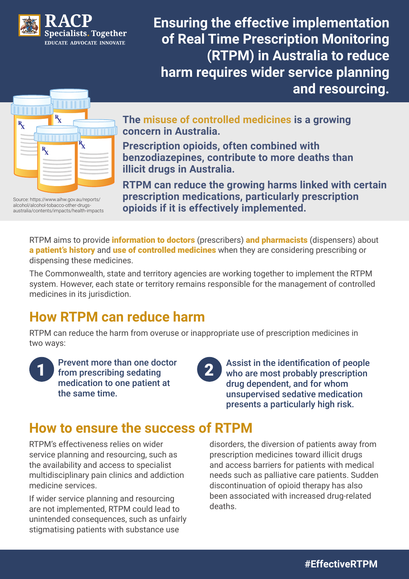

**Ensuring the effective implementation of Real Time Prescription Monitoring (RTPM) in Australia to reduce harm requires wider service planning and resourcing.**



**The misuse of controlled medicines is a growing concern in Australia.** 

**Prescription opioids, often combined with benzodiazepines, contribute to more deaths than illicit drugs in Australia.** 

**RTPM can reduce the growing harms linked with certain prescription medications, particularly prescription opioids if it is effectively implemented.**

Source: https://www.aihw.gov.au/reports/ alcohol/alcohol-tobacco-other-drugsaustralia/contents/impacts/health-impacts

> RTPM aims to provide *information to doctors* (prescribers) and *pharmacists* (dispensers) about a patient's history and use of controlled medicines when they are considering prescribing or dispensing these medicines.

> The Commonwealth, state and territory agencies are working together to implement the RTPM system. However, each state or territory remains responsible for the management of controlled medicines in its jurisdiction.

## **How RTPM can reduce harm**

RTPM can reduce the harm from overuse or inappropriate use of prescription medicines in two ways:

Prevent more than one doctor 1 from prescribing sedating 2 medication to one patient at the same time.

Assist in the identification of people who are most probably prescription drug dependent, and for whom unsupervised sedative medication presents a particularly high risk.

## **How to ensure the success of RTPM**

RTPM's effectiveness relies on wider service planning and resourcing, such as the availability and access to specialist multidisciplinary pain clinics and addiction medicine services.

If wider service planning and resourcing are not implemented, RTPM could lead to unintended consequences, such as unfairly stigmatising patients with substance use

disorders, the diversion of patients away from prescription medicines toward illicit drugs and access barriers for patients with medical needs such as palliative care patients. Sudden discontinuation of opioid therapy has also been associated with increased drug-related deaths.